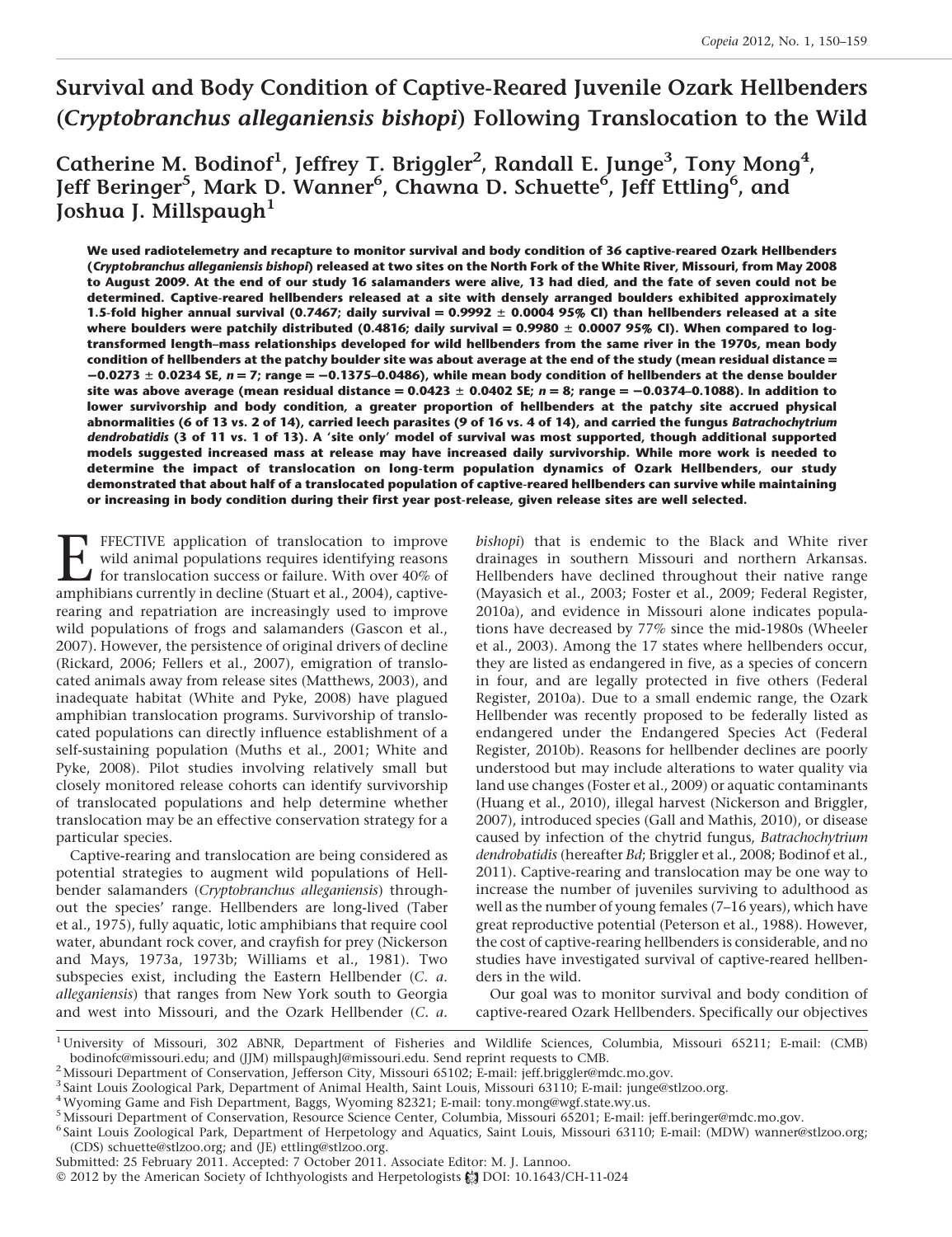# Survival and Body Condition of Captive-Reared Juvenile Ozark Hellbenders (Cryptobranchus alleganiensis bishopi) Following Translocation to the Wild

Catherine M. Bodinof<sup>1</sup>, Jeffrey T. Briggler<sup>2</sup>, Randall E. Junge<sup>3</sup>, Tony Mong<sup>4</sup>, Jeff Beringer<sup>5</sup>, Mark D. Wanner<sup>6</sup>, Chawna D. Schuette<sup>6</sup>, Jeff Ettling<sup>6</sup>, and Joshua J. Millspaugh<sup>1</sup>

We used radiotelemetry and recapture to monitor survival and body condition of 36 captive-reared Ozark Hellbenders (Cryptobranchus alleganiensis bishopi) released at two sites on the North Fork of the White River, Missouri, from May 2008 to August 2009. At the end of our study 16 salamanders were alive, 13 had died, and the fate of seven could not be determined. Captive-reared hellbenders released at a site with densely arranged boulders exhibited approximately 1.5-fold higher annual survival (0.7467; daily survival = 0.9992  $\pm$  0.0004 95% CI) than hellbenders released at a site where boulders were patchily distributed (0.4816; daily survival = 0.9980  $\pm$  0.0007 95% CI). When compared to logtransformed length–mass relationships developed for wild hellbenders from the same river in the 1970s, mean body condition of hellbenders at the patchy boulder site was about average at the end of the study (mean residual distance =  $-0.0273 \pm 0.0234$  SE,  $n = 7$ ; range =  $-0.1375-0.0486$ ), while mean body condition of hellbenders at the dense boulder site was above average (mean residual distance = 0.0423  $\pm$  0.0402 SE; n = 8; range = -0.0374-0.1088). In addition to lower survivorship and body condition, a greater proportion of hellbenders at the patchy site accrued physical abnormalities (6 of 13 vs. 2 of 14), carried leech parasites (9 of 16 vs. 4 of 14), and carried the fungus Batrachochytrium dendrobatidis (3 of 11 vs. 1 of 13). A 'site only' model of survival was most supported, though additional supported models suggested increased mass at release may have increased daily survivorship. While more work is needed to determine the impact of translocation on long-term population dynamics of Ozark Hellbenders, our study demonstrated that about half of a translocated population of captive-reared hellbenders can survive while maintaining or increasing in body condition during their first year post-release, given release sites are well selected.

EFECTIVE application of translocation to improve<br>wild animal populations requires identifying reasons<br>for translocation success or failure. With over 40% of<br>amphibians currently in decline (Stuart et al. 2004), cantivewild animal populations requires identifying reasons for translocation success or failure. With over 40% of amphibians currently in decline (Stuart et al., 2004), captiverearing and repatriation are increasingly used to improve wild populations of frogs and salamanders (Gascon et al., 2007). However, the persistence of original drivers of decline (Rickard, 2006; Fellers et al., 2007), emigration of translocated animals away from release sites (Matthews, 2003), and inadequate habitat (White and Pyke, 2008) have plagued amphibian translocation programs. Survivorship of translocated populations can directly influence establishment of a self-sustaining population (Muths et al., 2001; White and Pyke, 2008). Pilot studies involving relatively small but closely monitored release cohorts can identify survivorship of translocated populations and help determine whether translocation may be an effective conservation strategy for a particular species.

Captive-rearing and translocation are being considered as potential strategies to augment wild populations of Hellbender salamanders (Cryptobranchus alleganiensis) throughout the species' range. Hellbenders are long-lived (Taber et al., 1975), fully aquatic, lotic amphibians that require cool water, abundant rock cover, and crayfish for prey (Nickerson and Mays, 1973a, 1973b; Williams et al., 1981). Two subspecies exist, including the Eastern Hellbender (C. a. alleganiensis) that ranges from New York south to Georgia and west into Missouri, and the Ozark Hellbender (C. a. bishopi) that is endemic to the Black and White river drainages in southern Missouri and northern Arkansas. Hellbenders have declined throughout their native range (Mayasich et al., 2003; Foster et al., 2009; Federal Register, 2010a), and evidence in Missouri alone indicates populations have decreased by 77% since the mid-1980s (Wheeler et al., 2003). Among the 17 states where hellbenders occur, they are listed as endangered in five, as a species of concern in four, and are legally protected in five others (Federal Register, 2010a). Due to a small endemic range, the Ozark Hellbender was recently proposed to be federally listed as endangered under the Endangered Species Act (Federal Register, 2010b). Reasons for hellbender declines are poorly understood but may include alterations to water quality via land use changes (Foster et al., 2009) or aquatic contaminants (Huang et al., 2010), illegal harvest (Nickerson and Briggler, 2007), introduced species (Gall and Mathis, 2010), or disease caused by infection of the chytrid fungus, Batrachochytrium dendrobatidis (hereafter Bd; Briggler et al., 2008; Bodinof et al., 2011). Captive-rearing and translocation may be one way to increase the number of juveniles surviving to adulthood as well as the number of young females (7–16 years), which have great reproductive potential (Peterson et al., 1988). However, the cost of captive-rearing hellbenders is considerable, and no studies have investigated survival of captive-reared hellbenders in the wild.

Our goal was to monitor survival and body condition of captive-reared Ozark Hellbenders. Specifically our objectives

<sup>1</sup>University of Missouri, 302 ABNR, Department of Fisheries and Wildlife Sciences, Columbia, Missouri 65211; E-mail: (CMB) bodinofc@missouri.edu; and (JJM) millspaughJ@missouri.edu. Send reprint requests to CMB. 2Missouri Department of Conservation, Jefferson City, Missouri 65102; E-mail: jeff.briggler@mdc.mo.gov.

<sup>3</sup> Saint Louis Zoological Park, Department of Animal Health, Saint Louis, Missouri 63110; E-mail: junge@stlzoo.org.

<sup>4</sup>Wyoming Game and Fish Department, Baggs, Wyoming 82321; E-mail: tony.mong@wgf.state.wy.us.

<sup>5</sup>Missouri Department of Conservation, Resource Science Center, Columbia, Missouri 65201; E-mail: jeff.beringer@mdc.mo.gov.

<sup>6</sup> Saint Louis Zoological Park, Department of Herpetology and Aquatics, Saint Louis, Missouri 63110; E-mail: (MDW) wanner@stlzoo.org; (CDS) schuette@stlzoo.org; and (JE) ettling@stlzoo.org.

Submitted: 25 February 2011. Accepted: 7 October 2011. Associate Editor: M. J. Lannoo.

<sup>© 2012</sup> by the American Society of Ichthyologists and Herpetologists  $\sharp$  DOI: 10.1643/CH-11-024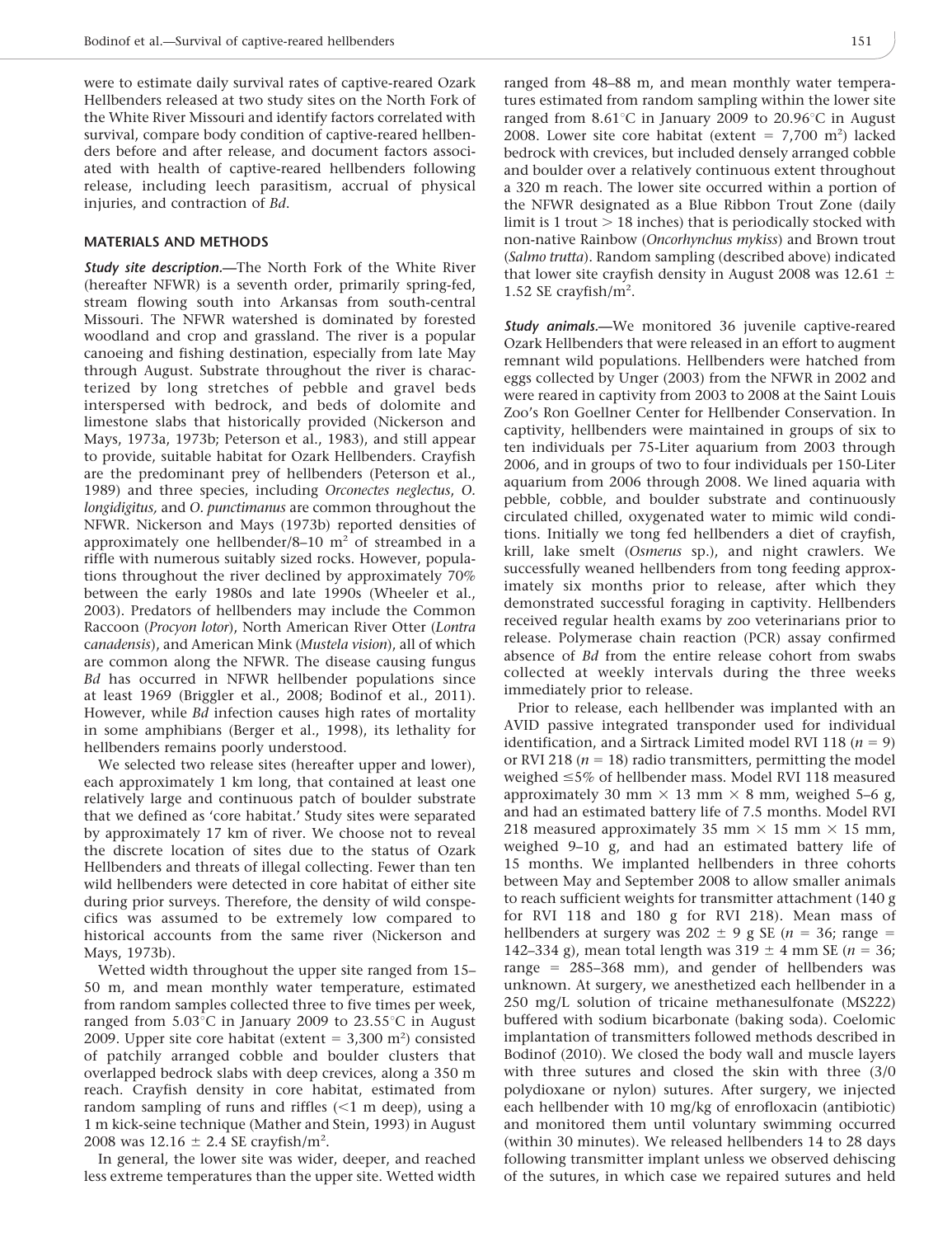were to estimate daily survival rates of captive-reared Ozark Hellbenders released at two study sites on the North Fork of the White River Missouri and identify factors correlated with survival, compare body condition of captive-reared hellbenders before and after release, and document factors associated with health of captive-reared hellbenders following release, including leech parasitism, accrual of physical injuries, and contraction of Bd.

#### MATERIALS AND METHODS

Study site description.—The North Fork of the White River (hereafter NFWR) is a seventh order, primarily spring-fed, stream flowing south into Arkansas from south-central Missouri. The NFWR watershed is dominated by forested woodland and crop and grassland. The river is a popular canoeing and fishing destination, especially from late May through August. Substrate throughout the river is characterized by long stretches of pebble and gravel beds interspersed with bedrock, and beds of dolomite and limestone slabs that historically provided (Nickerson and Mays, 1973a, 1973b; Peterson et al., 1983), and still appear to provide, suitable habitat for Ozark Hellbenders. Crayfish are the predominant prey of hellbenders (Peterson et al., 1989) and three species, including Orconectes neglectus, O. longidigitus, and O. punctimanus are common throughout the NFWR. Nickerson and Mays (1973b) reported densities of approximately one hellbender/8–10  $m<sup>2</sup>$  of streambed in a riffle with numerous suitably sized rocks. However, populations throughout the river declined by approximately 70% between the early 1980s and late 1990s (Wheeler et al., 2003). Predators of hellbenders may include the Common Raccoon (Procyon lotor), North American River Otter (Lontra canadensis), and American Mink (Mustela vision), all of which are common along the NFWR. The disease causing fungus Bd has occurred in NFWR hellbender populations since at least 1969 (Briggler et al., 2008; Bodinof et al., 2011). However, while Bd infection causes high rates of mortality in some amphibians (Berger et al., 1998), its lethality for hellbenders remains poorly understood.

We selected two release sites (hereafter upper and lower), each approximately 1 km long, that contained at least one relatively large and continuous patch of boulder substrate that we defined as 'core habitat.' Study sites were separated by approximately 17 km of river. We choose not to reveal the discrete location of sites due to the status of Ozark Hellbenders and threats of illegal collecting. Fewer than ten wild hellbenders were detected in core habitat of either site during prior surveys. Therefore, the density of wild conspecifics was assumed to be extremely low compared to historical accounts from the same river (Nickerson and Mays, 1973b).

Wetted width throughout the upper site ranged from 15– 50 m, and mean monthly water temperature, estimated from random samples collected three to five times per week, ranged from  $5.03^{\circ}$ C in January 2009 to 23.55 $^{\circ}$ C in August 2009. Upper site core habitat (extent  $= 3,300$  m<sup>2</sup>) consisted of patchily arranged cobble and boulder clusters that overlapped bedrock slabs with deep crevices, along a 350 m reach. Crayfish density in core habitat, estimated from random sampling of runs and riffles  $($  1 m deep), using a 1 m kick-seine technique (Mather and Stein, 1993) in August 2008 was  $12.16 \pm 2.4$  SE crayfish/m<sup>2</sup>.

In general, the lower site was wider, deeper, and reached less extreme temperatures than the upper site. Wetted width

ranged from 48–88 m, and mean monthly water temperatures estimated from random sampling within the lower site ranged from  $8.61^{\circ}$ C in January 2009 to 20.96 $^{\circ}$ C in August 2008. Lower site core habitat (extent =  $7,700$  m<sup>2</sup>) lacked bedrock with crevices, but included densely arranged cobble and boulder over a relatively continuous extent throughout a 320 m reach. The lower site occurred within a portion of the NFWR designated as a Blue Ribbon Trout Zone (daily limit is 1 trout  $> 18$  inches) that is periodically stocked with non-native Rainbow (Oncorhynchus mykiss) and Brown trout (Salmo trutta). Random sampling (described above) indicated that lower site crayfish density in August 2008 was 12.61  $\pm$ 1.52 SE crayfish/m2 .

Study animals.-We monitored 36 juvenile captive-reared Ozark Hellbenders that were released in an effort to augment remnant wild populations. Hellbenders were hatched from eggs collected by Unger (2003) from the NFWR in 2002 and were reared in captivity from 2003 to 2008 at the Saint Louis Zoo's Ron Goellner Center for Hellbender Conservation. In captivity, hellbenders were maintained in groups of six to ten individuals per 75-Liter aquarium from 2003 through 2006, and in groups of two to four individuals per 150-Liter aquarium from 2006 through 2008. We lined aquaria with pebble, cobble, and boulder substrate and continuously circulated chilled, oxygenated water to mimic wild conditions. Initially we tong fed hellbenders a diet of crayfish, krill, lake smelt (Osmerus sp.), and night crawlers. We successfully weaned hellbenders from tong feeding approximately six months prior to release, after which they demonstrated successful foraging in captivity. Hellbenders received regular health exams by zoo veterinarians prior to release. Polymerase chain reaction (PCR) assay confirmed absence of Bd from the entire release cohort from swabs collected at weekly intervals during the three weeks immediately prior to release.

Prior to release, each hellbender was implanted with an AVID passive integrated transponder used for individual identification, and a Sirtrack Limited model RVI 118 ( $n = 9$ ) or RVI 218 ( $n = 18$ ) radio transmitters, permitting the model weighed  $\leq 5\%$  of hellbender mass. Model RVI 118 measured approximately 30 mm  $\times$  13 mm  $\times$  8 mm, weighed 5–6 g, and had an estimated battery life of 7.5 months. Model RVI 218 measured approximately 35 mm  $\times$  15 mm  $\times$  15 mm, weighed 9–10 g, and had an estimated battery life of 15 months. We implanted hellbenders in three cohorts between May and September 2008 to allow smaller animals to reach sufficient weights for transmitter attachment (140 g for RVI 118 and 180 g for RVI 218). Mean mass of hellbenders at surgery was 202  $\pm$  9 g SE (n = 36; range = 142–334 g), mean total length was  $319 \pm 4$  mm SE (n = 36; range =  $285-368$  mm), and gender of hellbenders was unknown. At surgery, we anesthetized each hellbender in a 250 mg/L solution of tricaine methanesulfonate (MS222) buffered with sodium bicarbonate (baking soda). Coelomic implantation of transmitters followed methods described in Bodinof (2010). We closed the body wall and muscle layers with three sutures and closed the skin with three (3/0 polydioxane or nylon) sutures. After surgery, we injected each hellbender with 10 mg/kg of enrofloxacin (antibiotic) and monitored them until voluntary swimming occurred (within 30 minutes). We released hellbenders 14 to 28 days following transmitter implant unless we observed dehiscing of the sutures, in which case we repaired sutures and held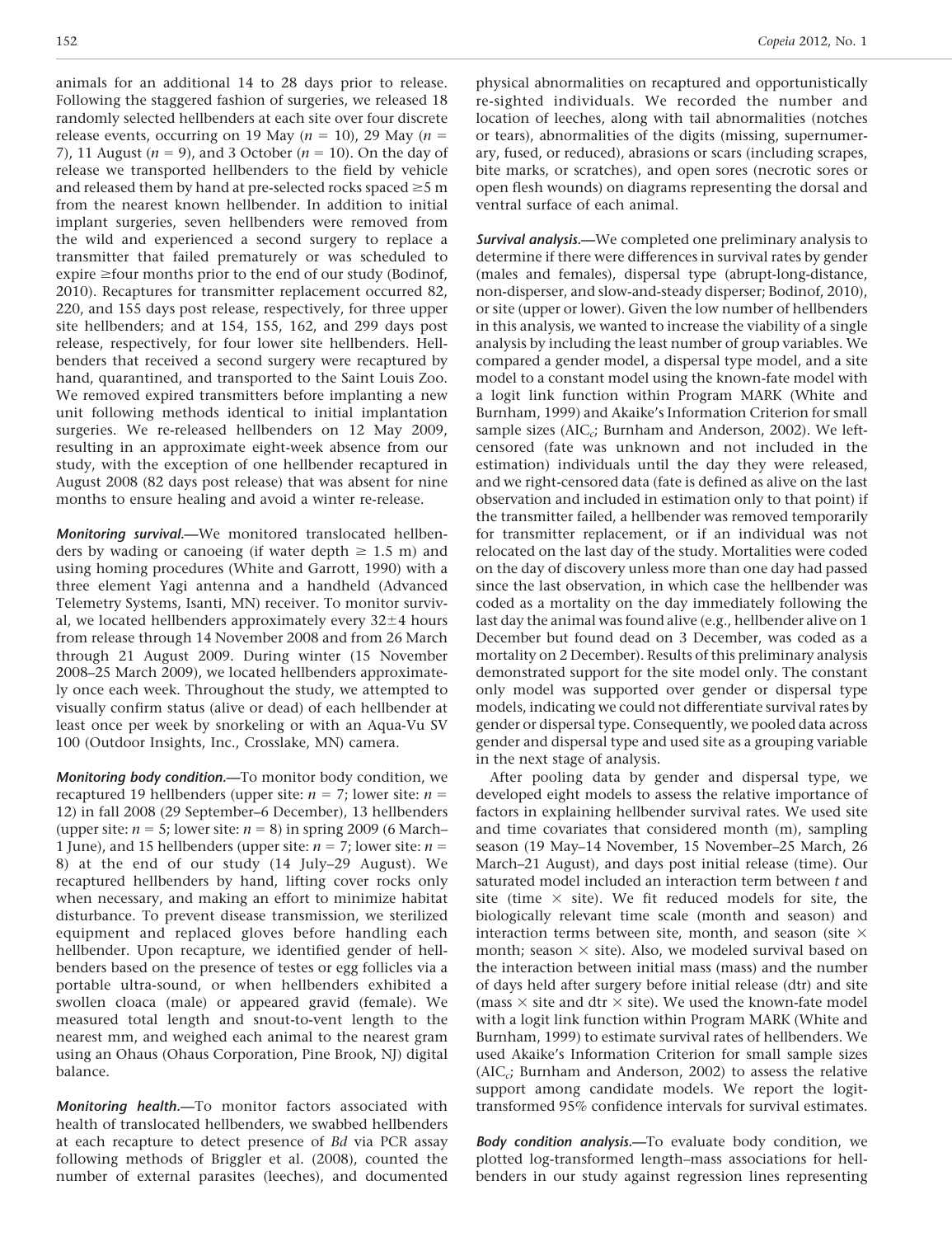animals for an additional 14 to 28 days prior to release. Following the staggered fashion of surgeries, we released 18 randomly selected hellbenders at each site over four discrete release events, occurring on 19 May ( $n = 10$ ), 29 May ( $n =$ 7), 11 August ( $n = 9$ ), and 3 October ( $n = 10$ ). On the day of release we transported hellbenders to the field by vehicle and released them by hand at pre-selected rocks spaced  $\geq$ 5 m from the nearest known hellbender. In addition to initial implant surgeries, seven hellbenders were removed from the wild and experienced a second surgery to replace a transmitter that failed prematurely or was scheduled to expire  $\geq$  four months prior to the end of our study (Bodinof, 2010). Recaptures for transmitter replacement occurred 82, 220, and 155 days post release, respectively, for three upper site hellbenders; and at 154, 155, 162, and 299 days post release, respectively, for four lower site hellbenders. Hellbenders that received a second surgery were recaptured by hand, quarantined, and transported to the Saint Louis Zoo. We removed expired transmitters before implanting a new unit following methods identical to initial implantation surgeries. We re-released hellbenders on 12 May 2009, resulting in an approximate eight-week absence from our study, with the exception of one hellbender recaptured in August 2008 (82 days post release) that was absent for nine months to ensure healing and avoid a winter re-release.

Monitoring survival.—We monitored translocated hellbenders by wading or canoeing (if water depth  $\geq 1.5$  m) and using homing procedures (White and Garrott, 1990) with a three element Yagi antenna and a handheld (Advanced Telemetry Systems, Isanti, MN) receiver. To monitor survival, we located hellbenders approximately every  $32\pm4$  hours from release through 14 November 2008 and from 26 March through 21 August 2009. During winter (15 November 2008–25 March 2009), we located hellbenders approximately once each week. Throughout the study, we attempted to visually confirm status (alive or dead) of each hellbender at least once per week by snorkeling or with an Aqua-Vu SV 100 (Outdoor Insights, Inc., Crosslake, MN) camera.

Monitoring body condition.—To monitor body condition, we recaptured 19 hellbenders (upper site:  $n = 7$ ; lower site:  $n =$ 12) in fall 2008 (29 September–6 December), 13 hellbenders (upper site:  $n = 5$ ; lower site:  $n = 8$ ) in spring 2009 (6 March– 1 June), and 15 hellbenders (upper site:  $n = 7$ ; lower site:  $n = 1$ 8) at the end of our study (14 July–29 August). We recaptured hellbenders by hand, lifting cover rocks only when necessary, and making an effort to minimize habitat disturbance. To prevent disease transmission, we sterilized equipment and replaced gloves before handling each hellbender. Upon recapture, we identified gender of hellbenders based on the presence of testes or egg follicles via a portable ultra-sound, or when hellbenders exhibited a swollen cloaca (male) or appeared gravid (female). We measured total length and snout-to-vent length to the nearest mm, and weighed each animal to the nearest gram using an Ohaus (Ohaus Corporation, Pine Brook, NJ) digital balance.

Monitoring health.-To monitor factors associated with health of translocated hellbenders, we swabbed hellbenders at each recapture to detect presence of Bd via PCR assay following methods of Briggler et al. (2008), counted the number of external parasites (leeches), and documented physical abnormalities on recaptured and opportunistically re-sighted individuals. We recorded the number and location of leeches, along with tail abnormalities (notches or tears), abnormalities of the digits (missing, supernumerary, fused, or reduced), abrasions or scars (including scrapes, bite marks, or scratches), and open sores (necrotic sores or open flesh wounds) on diagrams representing the dorsal and ventral surface of each animal.

Survival analysis.—We completed one preliminary analysis to determine if there were differences in survival rates by gender (males and females), dispersal type (abrupt-long-distance, non-disperser, and slow-and-steady disperser; Bodinof, 2010), or site (upper or lower). Given the low number of hellbenders in this analysis, we wanted to increase the viability of a single analysis by including the least number of group variables. We compared a gender model, a dispersal type model, and a site model to a constant model using the known-fate model with a logit link function within Program MARK (White and Burnham, 1999) and Akaike's Information Criterion for small sample sizes ( $AIC_c$ ; Burnham and Anderson, 2002). We leftcensored (fate was unknown and not included in the estimation) individuals until the day they were released, and we right-censored data (fate is defined as alive on the last observation and included in estimation only to that point) if the transmitter failed, a hellbender was removed temporarily for transmitter replacement, or if an individual was not relocated on the last day of the study. Mortalities were coded on the day of discovery unless more than one day had passed since the last observation, in which case the hellbender was coded as a mortality on the day immediately following the last day the animal was found alive (e.g., hellbender alive on 1 December but found dead on 3 December, was coded as a mortality on 2 December). Results of this preliminary analysis demonstrated support for the site model only. The constant only model was supported over gender or dispersal type models, indicating we could not differentiate survival rates by gender or dispersal type. Consequently, we pooled data across gender and dispersal type and used site as a grouping variable in the next stage of analysis.

After pooling data by gender and dispersal type, we developed eight models to assess the relative importance of factors in explaining hellbender survival rates. We used site and time covariates that considered month (m), sampling season (19 May–14 November, 15 November–25 March, 26 March–21 August), and days post initial release (time). Our saturated model included an interaction term between t and site (time  $\times$  site). We fit reduced models for site, the biologically relevant time scale (month and season) and interaction terms between site, month, and season (site  $\times$ month; season  $\times$  site). Also, we modeled survival based on the interaction between initial mass (mass) and the number of days held after surgery before initial release (dtr) and site (mass  $\times$  site and dtr  $\times$  site). We used the known-fate model with a logit link function within Program MARK (White and Burnham, 1999) to estimate survival rates of hellbenders. We used Akaike's Information Criterion for small sample sizes ( $AIC<sub>c</sub>$ ; Burnham and Anderson, 2002) to assess the relative support among candidate models. We report the logittransformed 95% confidence intervals for survival estimates.

Body condition analysis.—To evaluate body condition, we plotted log-transformed length–mass associations for hellbenders in our study against regression lines representing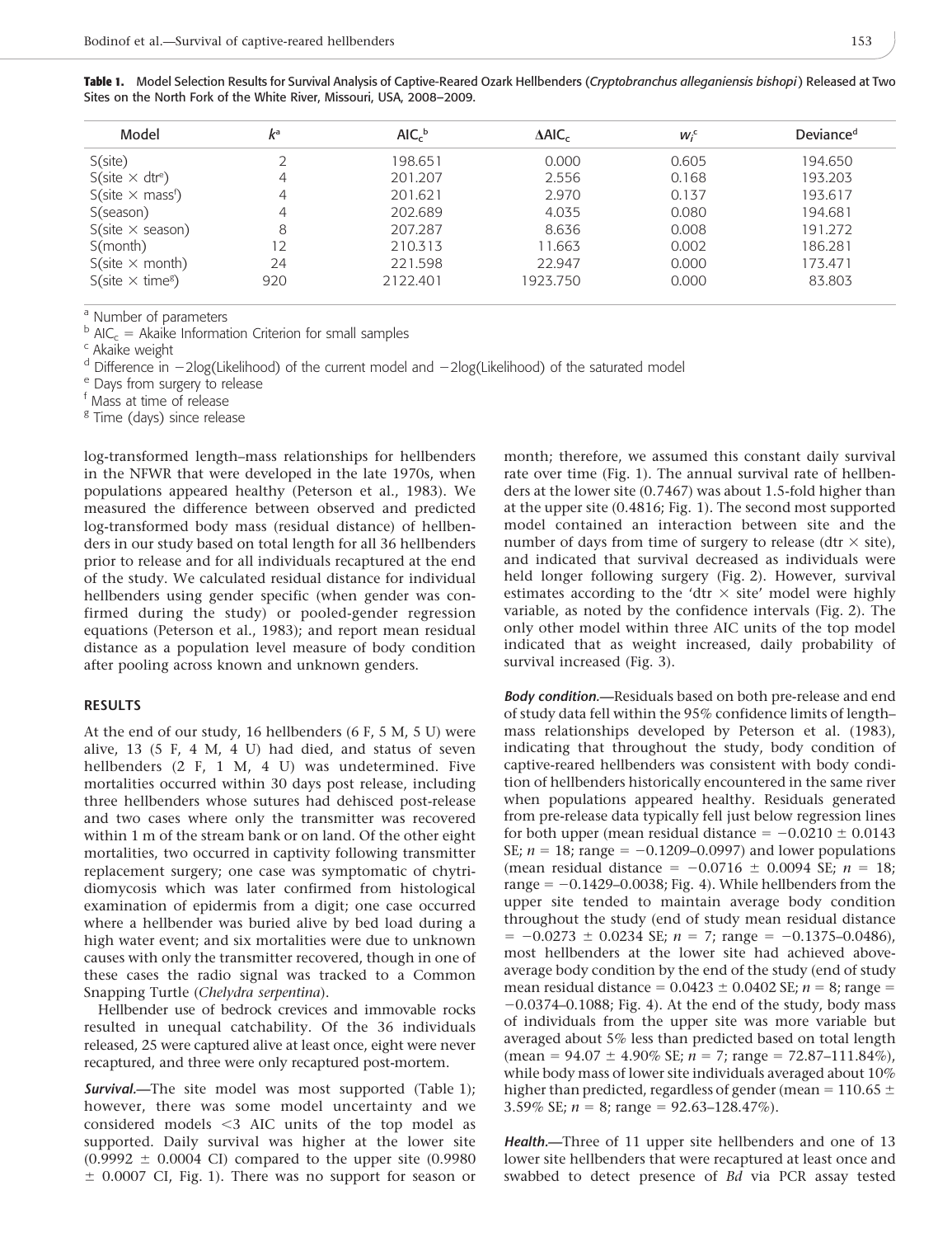|  | <b>Table 1.</b> Model Selection Results for Survival Analysis of Captive-Reared Ozark Hellbenders ( <i>Cryptobranchus alleganiensis bishopi</i> ) Released at Two |  |  |  |  |  |
|--|-------------------------------------------------------------------------------------------------------------------------------------------------------------------|--|--|--|--|--|
|  | Sites on the North Fork of the White River, Missouri, USA, 2008–2009.                                                                                             |  |  |  |  |  |

| Model                                          | $k^a$          | $AIC_c^b$ | $\triangle$ AIC <sub>c</sub> | $W_i^c$ | Deviance <sup>d</sup> |
|------------------------------------------------|----------------|-----------|------------------------------|---------|-----------------------|
| S(site)                                        |                | 198.651   | 0.000                        | 0.605   | 194.650               |
| S(site $\times$ dtr <sup>e</sup> )             | 4              | 201.207   | 2.556                        | 0.168   | 193.203               |
| $S(\text{site} \times \text{mass}^{\text{f}})$ | 4              | 201.621   | 2.970                        | 0.137   | 193.617               |
| S(season)                                      | 4              | 202.689   | 4.035                        | 0.080   | 194.681               |
| S(site $\times$ season)                        | 8              | 207.287   | 8.636                        | 0.008   | 191.272               |
| S(month)                                       | $\overline{2}$ | 210.313   | 11.663                       | 0.002   | 186.281               |
| S(site $\times$ month)                         | 24             | 221.598   | 22.947                       | 0.000   | 173.471               |
| S(site $\times$ time <sup>g</sup> )            | 920            | 2122.401  | 1923.750                     | 0.000   | 83.803                |
|                                                |                |           |                              |         |                       |

a Number of parameters

 $b$  AIC<sub>c</sub> = Akaike Information Criterion for small samples <sup>c</sup> Akaike weight

<sup>d</sup> Difference in  $-2\log(Likelihood)$  of the current model and  $-2\log(Likelihood)$  of the saturated model e Days from surgery to release

<sup>f</sup> Mass at time of release

<sup>g</sup> Time (days) since release

log-transformed length–mass relationships for hellbenders in the NFWR that were developed in the late 1970s, when populations appeared healthy (Peterson et al., 1983). We measured the difference between observed and predicted log-transformed body mass (residual distance) of hellbenders in our study based on total length for all 36 hellbenders prior to release and for all individuals recaptured at the end of the study. We calculated residual distance for individual hellbenders using gender specific (when gender was confirmed during the study) or pooled-gender regression equations (Peterson et al., 1983); and report mean residual distance as a population level measure of body condition after pooling across known and unknown genders.

## RESULTS

At the end of our study, 16 hellbenders (6 F, 5 M, 5 U) were alive, 13 (5 F, 4 M, 4 U) had died, and status of seven hellbenders (2 F, 1 M, 4 U) was undetermined. Five mortalities occurred within 30 days post release, including three hellbenders whose sutures had dehisced post-release and two cases where only the transmitter was recovered within 1 m of the stream bank or on land. Of the other eight mortalities, two occurred in captivity following transmitter replacement surgery; one case was symptomatic of chytridiomycosis which was later confirmed from histological examination of epidermis from a digit; one case occurred where a hellbender was buried alive by bed load during a high water event; and six mortalities were due to unknown causes with only the transmitter recovered, though in one of these cases the radio signal was tracked to a Common Snapping Turtle (Chelydra serpentina).

Hellbender use of bedrock crevices and immovable rocks resulted in unequal catchability. Of the 36 individuals released, 25 were captured alive at least once, eight were never recaptured, and three were only recaptured post-mortem.

Survival.-The site model was most supported (Table 1); however, there was some model uncertainty and we considered models  $<$ 3 AIC units of the top model as supported. Daily survival was higher at the lower site  $(0.9992 \pm 0.0004 \text{ CI})$  compared to the upper site  $(0.9980$  $\pm$  0.0007 CI, Fig. 1). There was no support for season or

month; therefore, we assumed this constant daily survival rate over time (Fig. 1). The annual survival rate of hellbenders at the lower site (0.7467) was about 1.5-fold higher than at the upper site (0.4816; Fig. 1). The second most supported model contained an interaction between site and the number of days from time of surgery to release (dtr  $\times$  site), and indicated that survival decreased as individuals were held longer following surgery (Fig. 2). However, survival estimates according to the 'dtr  $\times$  site' model were highly variable, as noted by the confidence intervals (Fig. 2). The only other model within three AIC units of the top model indicated that as weight increased, daily probability of survival increased (Fig. 3).

Body condition.—Residuals based on both pre-release and end of study data fell within the 95% confidence limits of length– mass relationships developed by Peterson et al. (1983), indicating that throughout the study, body condition of captive-reared hellbenders was consistent with body condition of hellbenders historically encountered in the same river when populations appeared healthy. Residuals generated from pre-release data typically fell just below regression lines for both upper (mean residual distance  $= -0.0210 \pm 0.0143$ SE;  $n = 18$ ; range = -0.1209–0.0997) and lower populations (mean residual distance =  $-0.0716 \pm 0.0094$  SE;  $n = 18$ ; range  $= -0.1429 - 0.0038$ ; Fig. 4). While hellbenders from the upper site tended to maintain average body condition throughout the study (end of study mean residual distance  $= -0.0273 \pm 0.0234$  SE;  $n = 7$ ; range  $= -0.1375 - 0.0486$ ), most hellbenders at the lower site had achieved aboveaverage body condition by the end of the study (end of study mean residual distance =  $0.0423 \pm 0.0402$  SE;  $n = 8$ ; range =  $-0.0374-0.1088$ ; Fig. 4). At the end of the study, body mass of individuals from the upper site was more variable but averaged about 5% less than predicted based on total length (mean =  $94.07 \pm 4.90\%$  SE;  $n = 7$ ; range =  $72.87-111.84\%$ ), while body mass of lower site individuals averaged about  $10\%$ higher than predicted, regardless of gender (mean =  $110.65 \pm$ 3.59% SE;  $n = 8$ ; range = 92.63–128.47%).

Health.—Three of 11 upper site hellbenders and one of 13 lower site hellbenders that were recaptured at least once and swabbed to detect presence of Bd via PCR assay tested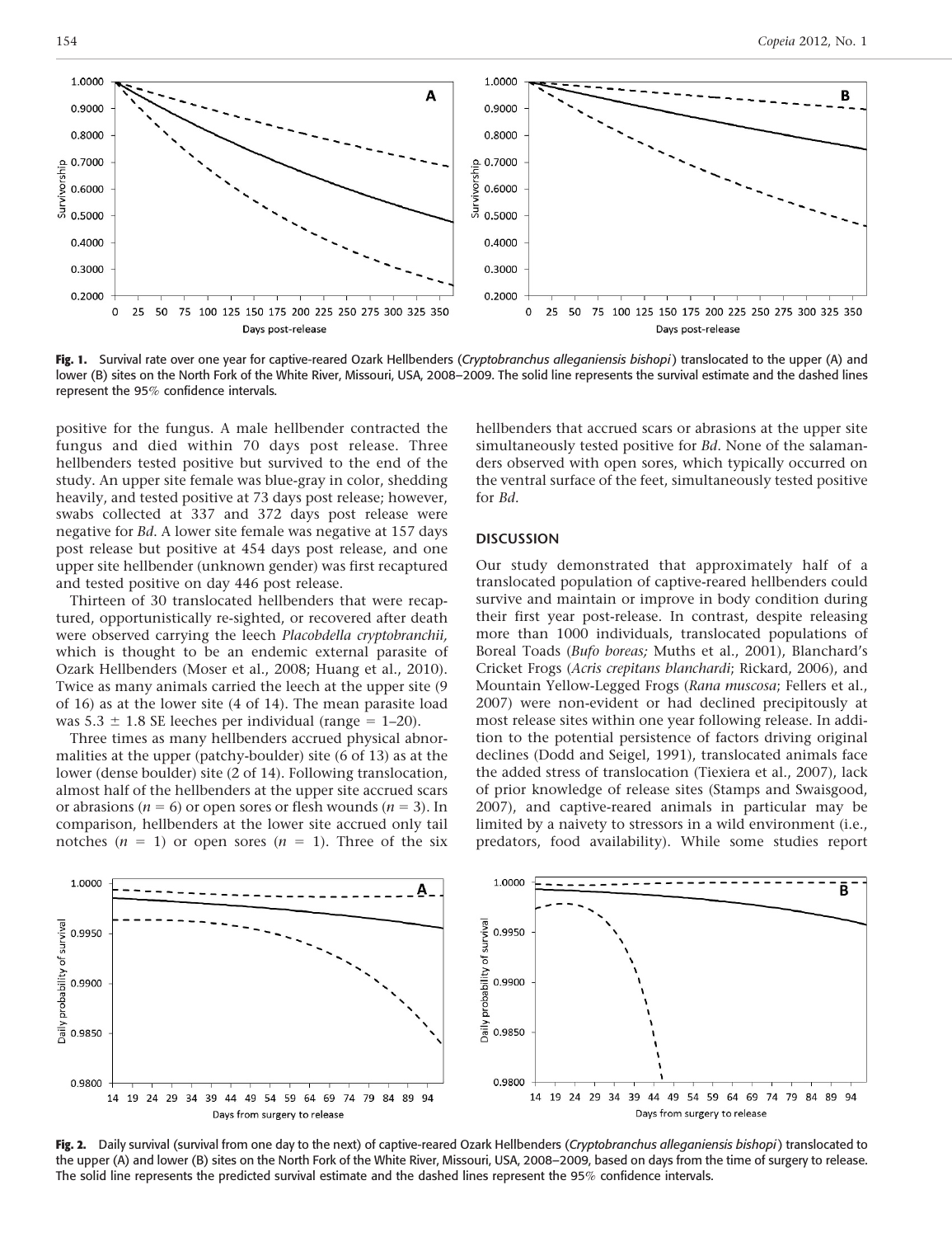

Fig. 1. Survival rate over one year for captive-reared Ozark Hellbenders (Cryptobranchus alleganiensis bishopi) translocated to the upper (A) and lower (B) sites on the North Fork of the White River, Missouri, USA, 2008–2009. The solid line represents the survival estimate and the dashed lines represent the 95% confidence intervals.

positive for the fungus. A male hellbender contracted the fungus and died within 70 days post release. Three hellbenders tested positive but survived to the end of the study. An upper site female was blue-gray in color, shedding heavily, and tested positive at 73 days post release; however, swabs collected at 337 and 372 days post release were negative for Bd. A lower site female was negative at 157 days post release but positive at 454 days post release, and one upper site hellbender (unknown gender) was first recaptured and tested positive on day 446 post release.

Thirteen of 30 translocated hellbenders that were recaptured, opportunistically re-sighted, or recovered after death were observed carrying the leech Placobdella cryptobranchii, which is thought to be an endemic external parasite of Ozark Hellbenders (Moser et al., 2008; Huang et al., 2010). Twice as many animals carried the leech at the upper site (9 of 16) as at the lower site (4 of 14). The mean parasite load was  $5.3 \pm 1.8$  SE leeches per individual (range = 1–20).

Three times as many hellbenders accrued physical abnormalities at the upper (patchy-boulder) site (6 of 13) as at the lower (dense boulder) site (2 of 14). Following translocation, almost half of the hellbenders at the upper site accrued scars or abrasions ( $n = 6$ ) or open sores or flesh wounds ( $n = 3$ ). In comparison, hellbenders at the lower site accrued only tail notches ( $n = 1$ ) or open sores ( $n = 1$ ). Three of the six

hellbenders that accrued scars or abrasions at the upper site simultaneously tested positive for Bd. None of the salamanders observed with open sores, which typically occurred on the ventral surface of the feet, simultaneously tested positive for Bd.

## **DISCUSSION**

Our study demonstrated that approximately half of a translocated population of captive-reared hellbenders could survive and maintain or improve in body condition during their first year post-release. In contrast, despite releasing more than 1000 individuals, translocated populations of Boreal Toads (Bufo boreas; Muths et al., 2001), Blanchard's Cricket Frogs (Acris crepitans blanchardi; Rickard, 2006), and Mountain Yellow-Legged Frogs (Rana muscosa; Fellers et al., 2007) were non-evident or had declined precipitously at most release sites within one year following release. In addition to the potential persistence of factors driving original declines (Dodd and Seigel, 1991), translocated animals face the added stress of translocation (Tiexiera et al., 2007), lack of prior knowledge of release sites (Stamps and Swaisgood, 2007), and captive-reared animals in particular may be limited by a naivety to stressors in a wild environment (i.e., predators, food availability). While some studies report



Fig. 2. Daily survival (survival from one day to the next) of captive-reared Ozark Hellbenders (Cryptobranchus alleganiensis bishopi) translocated to the upper (A) and lower (B) sites on the North Fork of the White River, Missouri, USA, 2008–2009, based on days from the time of surgery to release. The solid line represents the predicted survival estimate and the dashed lines represent the 95% confidence intervals.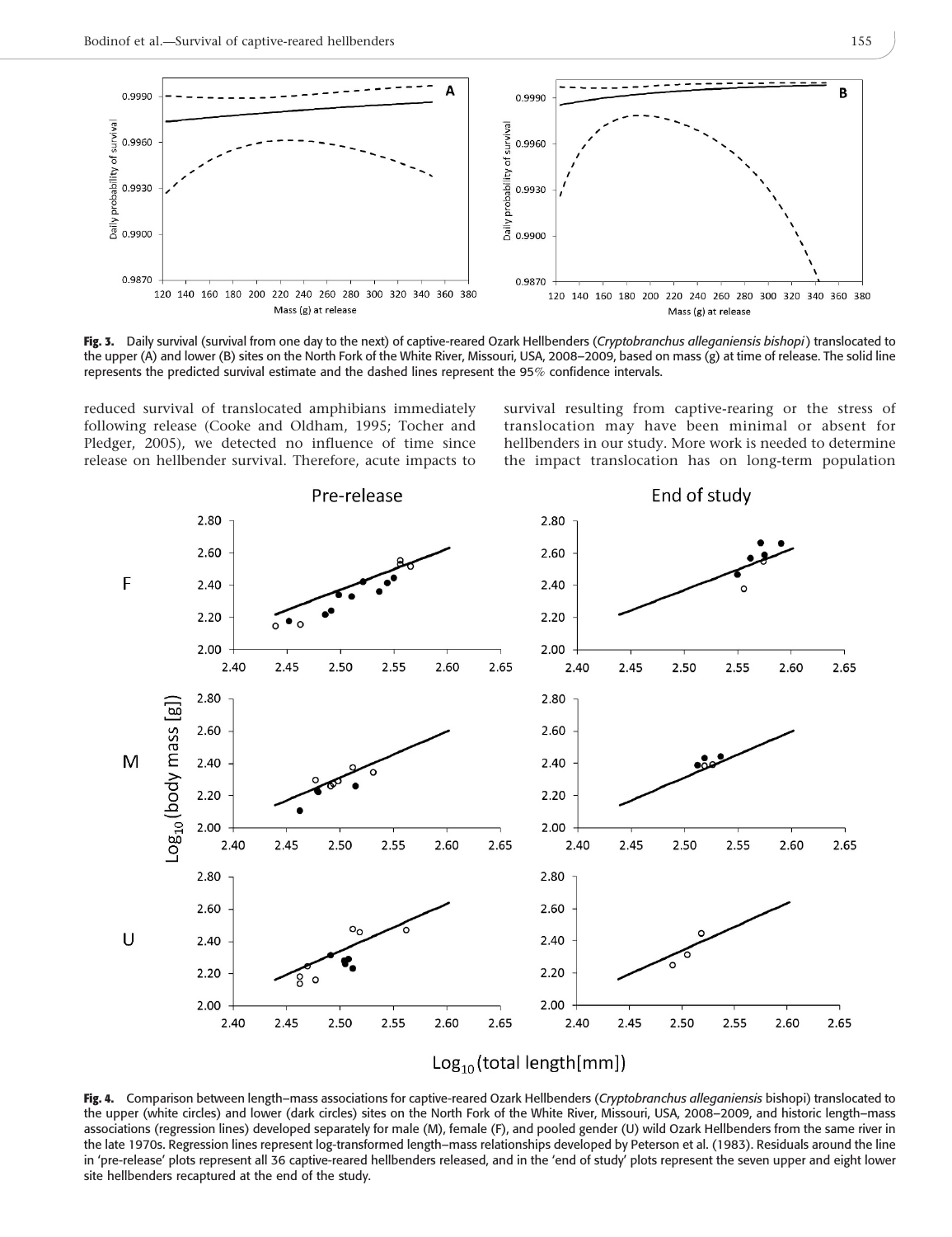

Fig. 3. Daily survival (survival from one day to the next) of captive-reared Ozark Hellbenders (Cryptobranchus alleganiensis bishopi) translocated to the upper (A) and lower (B) sites on the North Fork of the White River, Missouri, USA, 2008–2009, based on mass (g) at time of release. The solid line represents the predicted survival estimate and the dashed lines represent the 95% confidence intervals.

reduced survival of translocated amphibians immediately following release (Cooke and Oldham, 1995; Tocher and Pledger, 2005), we detected no influence of time since release on hellbender survival. Therefore, acute impacts to survival resulting from captive-rearing or the stress of translocation may have been minimal or absent for hellbenders in our study. More work is needed to determine the impact translocation has on long-term population



 $Log<sub>10</sub>$ (total length[mm])

Fig. 4. Comparison between length–mass associations for captive-reared Ozark Hellbenders (Cryptobranchus alleganiensis bishopi) translocated to the upper (white circles) and lower (dark circles) sites on the North Fork of the White River, Missouri, USA, 2008–2009, and historic length–mass associations (regression lines) developed separately for male (M), female (F), and pooled gender (U) wild Ozark Hellbenders from the same river in the late 1970s. Regression lines represent log-transformed length–mass relationships developed by Peterson et al. (1983). Residuals around the line in 'pre-release' plots represent all 36 captive-reared hellbenders released, and in the 'end of study' plots represent the seven upper and eight lower site hellbenders recaptured at the end of the study.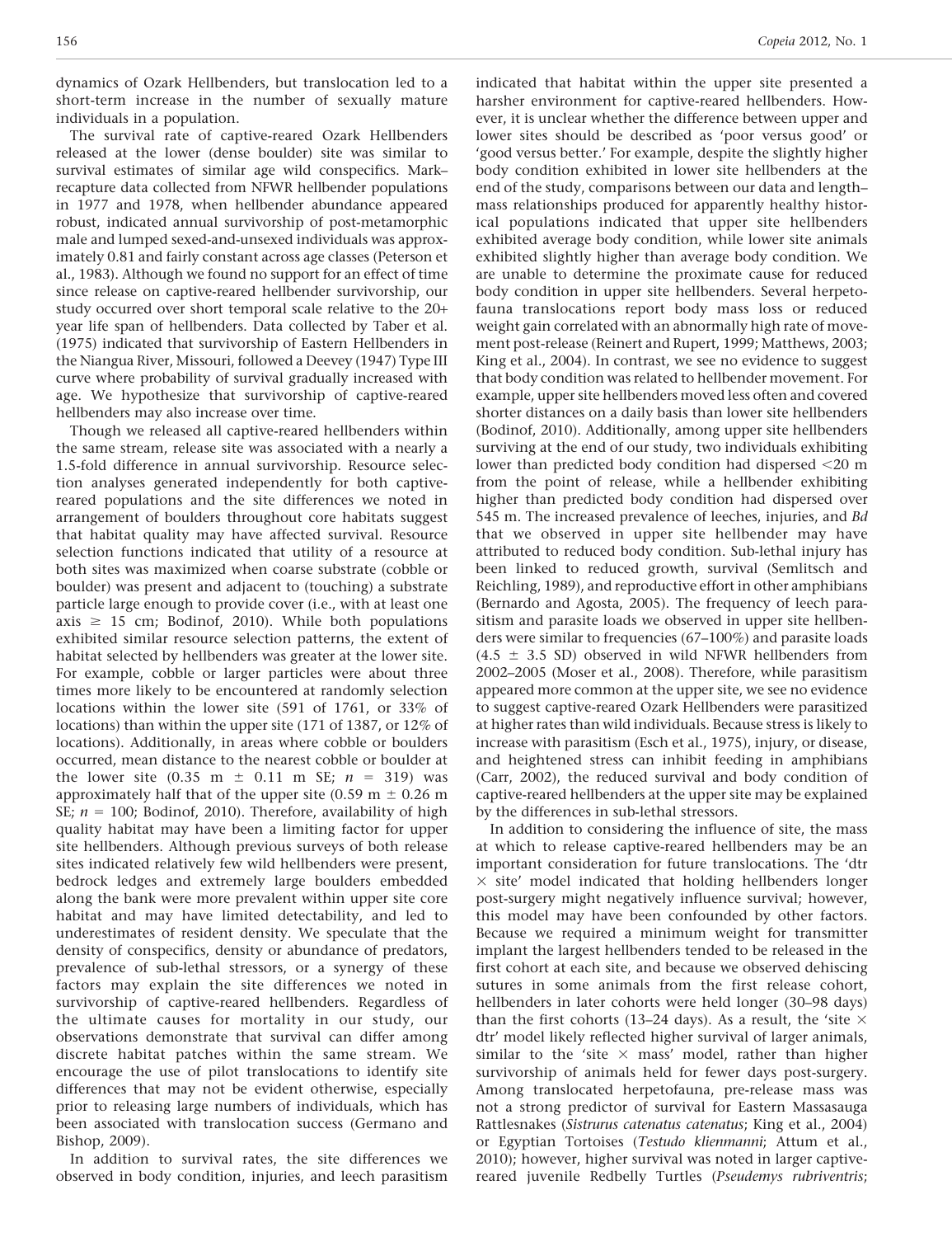dynamics of Ozark Hellbenders, but translocation led to a short-term increase in the number of sexually mature individuals in a population.

The survival rate of captive-reared Ozark Hellbenders released at the lower (dense boulder) site was similar to survival estimates of similar age wild conspecifics. Mark– recapture data collected from NFWR hellbender populations in 1977 and 1978, when hellbender abundance appeared robust, indicated annual survivorship of post-metamorphic male and lumped sexed-and-unsexed individuals was approximately 0.81 and fairly constant across age classes (Peterson et al., 1983). Although we found no support for an effect of time since release on captive-reared hellbender survivorship, our study occurred over short temporal scale relative to the 20+ year life span of hellbenders. Data collected by Taber et al. (1975) indicated that survivorship of Eastern Hellbenders in the Niangua River, Missouri, followed a Deevey (1947) Type III curve where probability of survival gradually increased with age. We hypothesize that survivorship of captive-reared hellbenders may also increase over time.

Though we released all captive-reared hellbenders within the same stream, release site was associated with a nearly a 1.5-fold difference in annual survivorship. Resource selection analyses generated independently for both captivereared populations and the site differences we noted in arrangement of boulders throughout core habitats suggest that habitat quality may have affected survival. Resource selection functions indicated that utility of a resource at both sites was maximized when coarse substrate (cobble or boulder) was present and adjacent to (touching) a substrate particle large enough to provide cover (i.e., with at least one axis  $\geq$  15 cm; Bodinof, 2010). While both populations exhibited similar resource selection patterns, the extent of habitat selected by hellbenders was greater at the lower site. For example, cobble or larger particles were about three times more likely to be encountered at randomly selection locations within the lower site (591 of 1761, or 33% of locations) than within the upper site (171 of 1387, or 12% of locations). Additionally, in areas where cobble or boulders occurred, mean distance to the nearest cobble or boulder at the lower site (0.35 m  $\pm$  0.11 m SE; n = 319) was approximately half that of the upper site (0.59 m  $\pm$  0.26 m SE;  $n = 100$ ; Bodinof, 2010). Therefore, availability of high quality habitat may have been a limiting factor for upper site hellbenders. Although previous surveys of both release sites indicated relatively few wild hellbenders were present, bedrock ledges and extremely large boulders embedded along the bank were more prevalent within upper site core habitat and may have limited detectability, and led to underestimates of resident density. We speculate that the density of conspecifics, density or abundance of predators, prevalence of sub-lethal stressors, or a synergy of these factors may explain the site differences we noted in survivorship of captive-reared hellbenders. Regardless of the ultimate causes for mortality in our study, our observations demonstrate that survival can differ among discrete habitat patches within the same stream. We encourage the use of pilot translocations to identify site differences that may not be evident otherwise, especially prior to releasing large numbers of individuals, which has been associated with translocation success (Germano and Bishop, 2009).

In addition to survival rates, the site differences we observed in body condition, injuries, and leech parasitism indicated that habitat within the upper site presented a harsher environment for captive-reared hellbenders. However, it is unclear whether the difference between upper and lower sites should be described as 'poor versus good' or 'good versus better.' For example, despite the slightly higher body condition exhibited in lower site hellbenders at the end of the study, comparisons between our data and length– mass relationships produced for apparently healthy historical populations indicated that upper site hellbenders exhibited average body condition, while lower site animals exhibited slightly higher than average body condition. We are unable to determine the proximate cause for reduced body condition in upper site hellbenders. Several herpetofauna translocations report body mass loss or reduced weight gain correlated with an abnormally high rate of movement post-release (Reinert and Rupert, 1999; Matthews, 2003; King et al., 2004). In contrast, we see no evidence to suggest that body condition was related to hellbender movement. For example, upper site hellbenders moved less often and covered shorter distances on a daily basis than lower site hellbenders (Bodinof, 2010). Additionally, among upper site hellbenders surviving at the end of our study, two individuals exhibiting lower than predicted body condition had dispersed  $<$ 20 m from the point of release, while a hellbender exhibiting higher than predicted body condition had dispersed over 545 m. The increased prevalence of leeches, injuries, and Bd that we observed in upper site hellbender may have attributed to reduced body condition. Sub-lethal injury has been linked to reduced growth, survival (Semlitsch and Reichling, 1989), and reproductive effort in other amphibians (Bernardo and Agosta, 2005). The frequency of leech parasitism and parasite loads we observed in upper site hellbenders were similar to frequencies (67–100%) and parasite loads  $(4.5 \pm 3.5$  SD) observed in wild NFWR hellbenders from 2002–2005 (Moser et al., 2008). Therefore, while parasitism appeared more common at the upper site, we see no evidence to suggest captive-reared Ozark Hellbenders were parasitized at higher rates than wild individuals. Because stress is likely to increase with parasitism (Esch et al., 1975), injury, or disease, and heightened stress can inhibit feeding in amphibians (Carr, 2002), the reduced survival and body condition of captive-reared hellbenders at the upper site may be explained by the differences in sub-lethal stressors.

In addition to considering the influence of site, the mass at which to release captive-reared hellbenders may be an important consideration for future translocations. The 'dtr  $\times$  site' model indicated that holding hellbenders longer post-surgery might negatively influence survival; however, this model may have been confounded by other factors. Because we required a minimum weight for transmitter implant the largest hellbenders tended to be released in the first cohort at each site, and because we observed dehiscing sutures in some animals from the first release cohort, hellbenders in later cohorts were held longer (30–98 days) than the first cohorts (13–24 days). As a result, the 'site  $\times$ dtr' model likely reflected higher survival of larger animals, similar to the 'site  $\times$  mass' model, rather than higher survivorship of animals held for fewer days post-surgery. Among translocated herpetofauna, pre-release mass was not a strong predictor of survival for Eastern Massasauga Rattlesnakes (Sistrurus catenatus catenatus; King et al., 2004) or Egyptian Tortoises (Testudo klienmanni; Attum et al., 2010); however, higher survival was noted in larger captivereared juvenile Redbelly Turtles (Pseudemys rubriventris;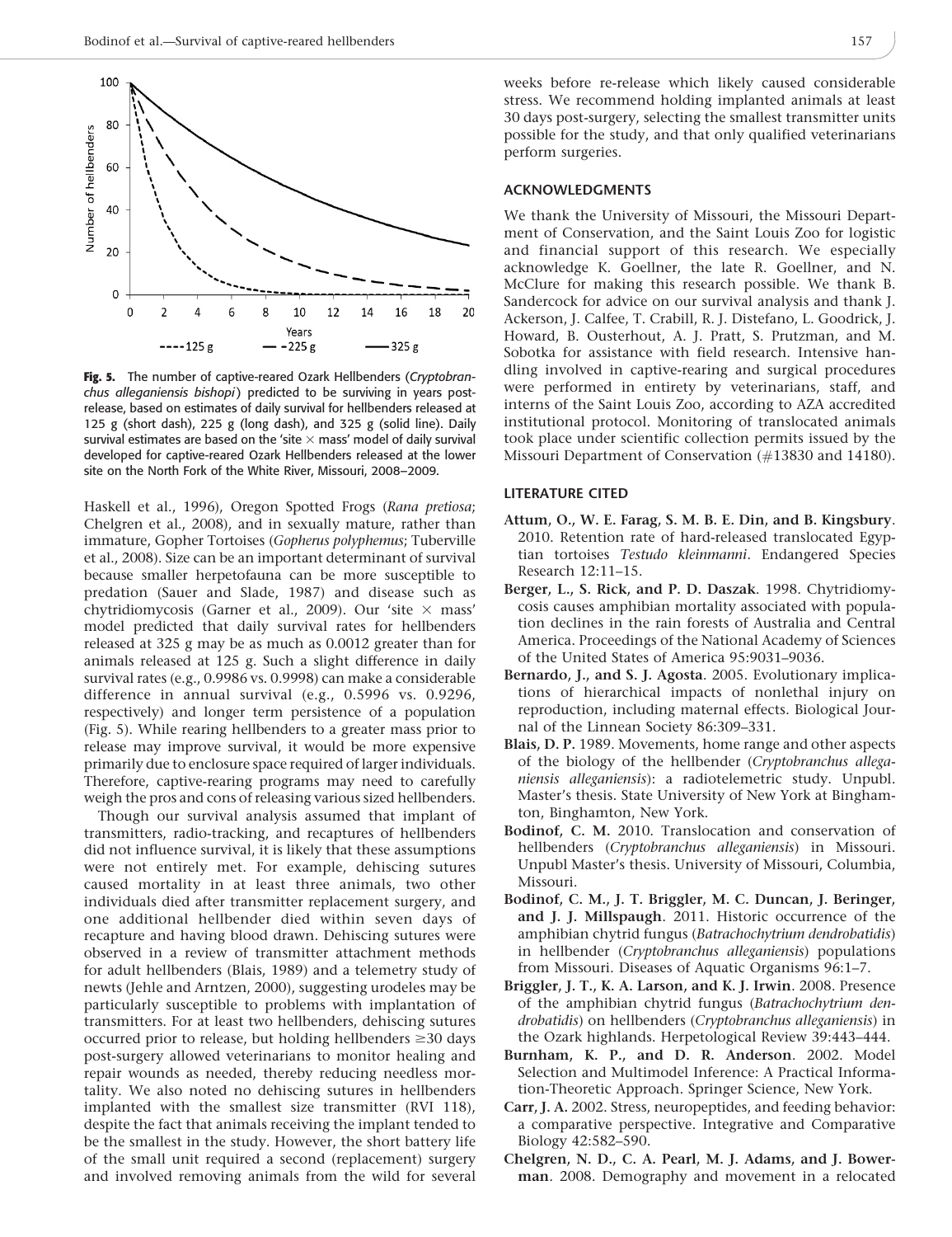

Fig. 5. The number of captive-reared Ozark Hellbenders (Cryptobranchus alleganiensis bishopi) predicted to be surviving in years postrelease, based on estimates of daily survival for hellbenders released at 125 g (short dash), 225 g (long dash), and 325 g (solid line). Daily survival estimates are based on the 'site  $\times$  mass' model of daily survival developed for captive-reared Ozark Hellbenders released at the lower site on the North Fork of the White River, Missouri, 2008–2009.

Haskell et al., 1996), Oregon Spotted Frogs (Rana pretiosa; Chelgren et al., 2008), and in sexually mature, rather than immature, Gopher Tortoises (Gopherus polyphemus; Tuberville et al., 2008). Size can be an important determinant of survival because smaller herpetofauna can be more susceptible to predation (Sauer and Slade, 1987) and disease such as chytridiomycosis (Garner et al., 2009). Our 'site  $\times$  mass' model predicted that daily survival rates for hellbenders released at 325 g may be as much as 0.0012 greater than for animals released at 125 g. Such a slight difference in daily survival rates (e.g., 0.9986 vs. 0.9998) can make a considerable difference in annual survival (e.g., 0.5996 vs. 0.9296, respectively) and longer term persistence of a population (Fig. 5). While rearing hellbenders to a greater mass prior to release may improve survival, it would be more expensive primarily due to enclosure space required of larger individuals. Therefore, captive-rearing programs may need to carefully weigh the pros and cons of releasing various sized hellbenders.

Though our survival analysis assumed that implant of transmitters, radio-tracking, and recaptures of hellbenders did not influence survival, it is likely that these assumptions were not entirely met. For example, dehiscing sutures caused mortality in at least three animals, two other individuals died after transmitter replacement surgery, and one additional hellbender died within seven days of recapture and having blood drawn. Dehiscing sutures were observed in a review of transmitter attachment methods for adult hellbenders (Blais, 1989) and a telemetry study of newts (Jehle and Arntzen, 2000), suggesting urodeles may be particularly susceptible to problems with implantation of transmitters. For at least two hellbenders, dehiscing sutures occurred prior to release, but holding hellbenders  $\geq 30$  days post-surgery allowed veterinarians to monitor healing and repair wounds as needed, thereby reducing needless mortality. We also noted no dehiscing sutures in hellbenders implanted with the smallest size transmitter (RVI 118), despite the fact that animals receiving the implant tended to be the smallest in the study. However, the short battery life of the small unit required a second (replacement) surgery and involved removing animals from the wild for several weeks before re-release which likely caused considerable stress. We recommend holding implanted animals at least 30 days post-surgery, selecting the smallest transmitter units possible for the study, and that only qualified veterinarians perform surgeries.

### ACKNOWLEDGMENTS

We thank the University of Missouri, the Missouri Department of Conservation, and the Saint Louis Zoo for logistic and financial support of this research. We especially acknowledge K. Goellner, the late R. Goellner, and N. McClure for making this research possible. We thank B. Sandercock for advice on our survival analysis and thank J. Ackerson, J. Calfee, T. Crabill, R. J. Distefano, L. Goodrick, J. Howard, B. Ousterhout, A. J. Pratt, S. Prutzman, and M. Sobotka for assistance with field research. Intensive handling involved in captive-rearing and surgical procedures were performed in entirety by veterinarians, staff, and interns of the Saint Louis Zoo, according to AZA accredited institutional protocol. Monitoring of translocated animals took place under scientific collection permits issued by the Missouri Department of Conservation (#13830 and 14180).

#### LITERATURE CITED

- Attum, O., W. E. Farag, S. M. B. E. Din, and B. Kingsbury. 2010. Retention rate of hard-released translocated Egyptian tortoises Testudo kleinmanni. Endangered Species Research 12:11–15.
- Berger, L., S. Rick, and P. D. Daszak. 1998. Chytridiomycosis causes amphibian mortality associated with population declines in the rain forests of Australia and Central America. Proceedings of the National Academy of Sciences of the United States of America 95:9031–9036.
- Bernardo, J., and S. J. Agosta. 2005. Evolutionary implications of hierarchical impacts of nonlethal injury on reproduction, including maternal effects. Biological Journal of the Linnean Society 86:309–331.
- Blais, D. P. 1989. Movements, home range and other aspects of the biology of the hellbender (Cryptobranchus alleganiensis alleganiensis): a radiotelemetric study. Unpubl. Master's thesis. State University of New York at Binghamton, Binghamton, New York.
- Bodinof, C. M. 2010. Translocation and conservation of hellbenders (Cryptobranchus alleganiensis) in Missouri. Unpubl Master's thesis. University of Missouri, Columbia, Missouri.
- Bodinof, C. M., J. T. Briggler, M. C. Duncan, J. Beringer, and J. J. Millspaugh. 2011. Historic occurrence of the amphibian chytrid fungus (Batrachochytrium dendrobatidis) in hellbender (Cryptobranchus alleganiensis) populations from Missouri. Diseases of Aquatic Organisms 96:1–7.
- Briggler, J. T., K. A. Larson, and K. J. Irwin. 2008. Presence of the amphibian chytrid fungus (Batrachochytrium dendrobatidis) on hellbenders (Cryptobranchus alleganiensis) in the Ozark highlands. Herpetological Review 39:443–444.
- Burnham, K. P., and D. R. Anderson. 2002. Model Selection and Multimodel Inference: A Practical Information-Theoretic Approach. Springer Science, New York.
- Carr, J. A. 2002. Stress, neuropeptides, and feeding behavior: a comparative perspective. Integrative and Comparative Biology 42:582–590.
- Chelgren, N. D., C. A. Pearl, M. J. Adams, and J. Bowerman. 2008. Demography and movement in a relocated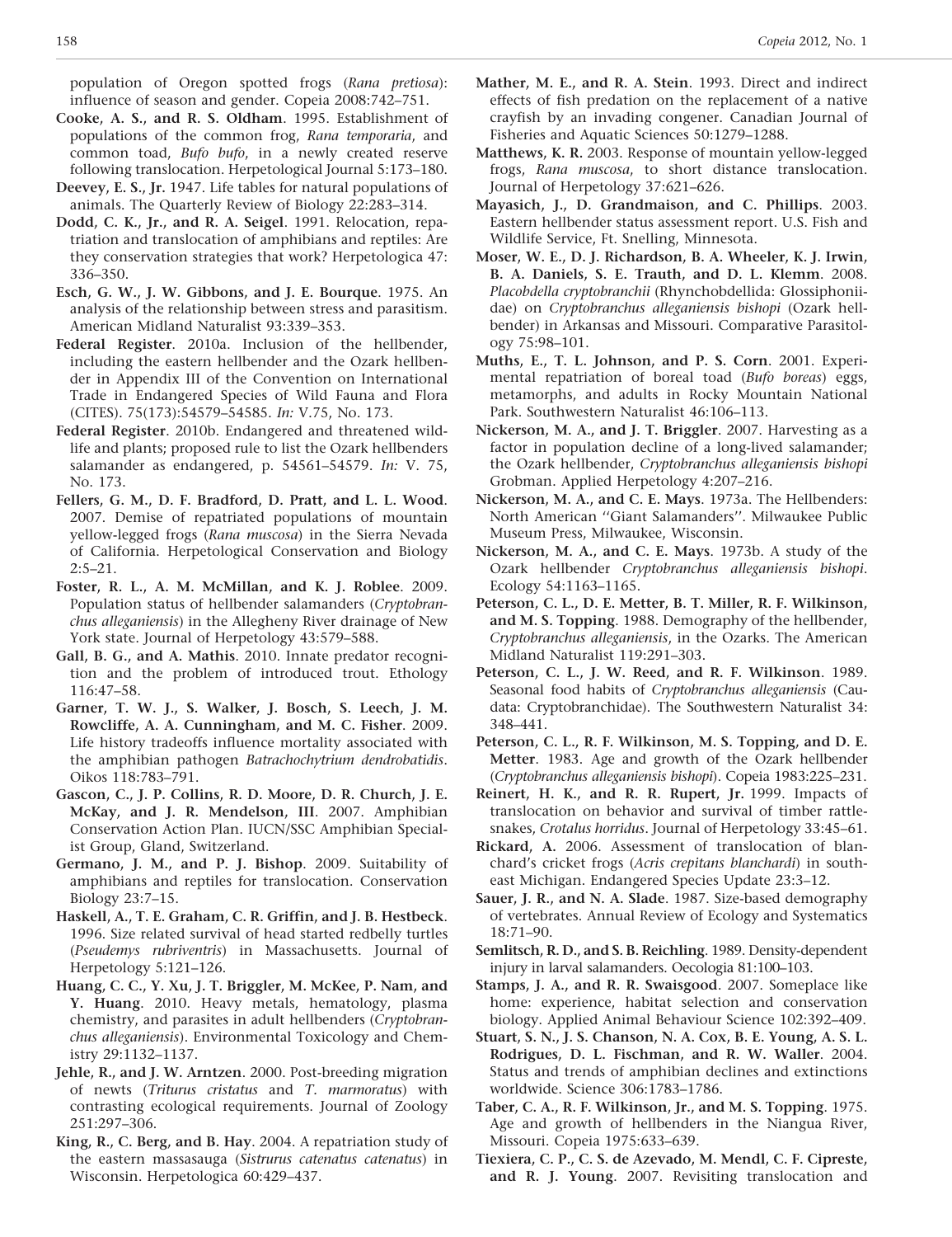population of Oregon spotted frogs (Rana pretiosa): influence of season and gender. Copeia 2008:742–751.

- Cooke, A. S., and R. S. Oldham. 1995. Establishment of populations of the common frog, Rana temporaria, and common toad, Bufo bufo, in a newly created reserve following translocation. Herpetological Journal 5:173–180.
- Deevey, E. S., Jr. 1947. Life tables for natural populations of animals. The Quarterly Review of Biology 22:283–314.
- Dodd, C. K., Jr., and R. A. Seigel. 1991. Relocation, repatriation and translocation of amphibians and reptiles: Are they conservation strategies that work? Herpetologica 47: 336–350.
- Esch, G. W., J. W. Gibbons, and J. E. Bourque. 1975. An analysis of the relationship between stress and parasitism. American Midland Naturalist 93:339–353.
- Federal Register. 2010a. Inclusion of the hellbender, including the eastern hellbender and the Ozark hellbender in Appendix III of the Convention on International Trade in Endangered Species of Wild Fauna and Flora (CITES). 75(173):54579–54585. In: V.75, No. 173.
- Federal Register. 2010b. Endangered and threatened wildlife and plants; proposed rule to list the Ozark hellbenders salamander as endangered, p. 54561–54579. In: V. 75, No. 173.
- Fellers, G. M., D. F. Bradford, D. Pratt, and L. L. Wood. 2007. Demise of repatriated populations of mountain yellow-legged frogs (Rana muscosa) in the Sierra Nevada of California. Herpetological Conservation and Biology 2:5–21.
- Foster, R. L., A. M. McMillan, and K. J. Roblee. 2009. Population status of hellbender salamanders (Cryptobranchus alleganiensis) in the Allegheny River drainage of New York state. Journal of Herpetology 43:579–588.
- Gall, B. G., and A. Mathis. 2010. Innate predator recognition and the problem of introduced trout. Ethology 116:47–58.
- Garner, T. W. J., S. Walker, J. Bosch, S. Leech, J. M. Rowcliffe, A. A. Cunningham, and M. C. Fisher. 2009. Life history tradeoffs influence mortality associated with the amphibian pathogen Batrachochytrium dendrobatidis. Oikos 118:783–791.
- Gascon, C., J. P. Collins, R. D. Moore, D. R. Church, J. E. McKay, and J. R. Mendelson, III. 2007. Amphibian Conservation Action Plan. IUCN/SSC Amphibian Specialist Group, Gland, Switzerland.
- Germano, J. M., and P. J. Bishop. 2009. Suitability of amphibians and reptiles for translocation. Conservation Biology 23:7–15.
- Haskell, A., T. E. Graham, C. R. Griffin, and J. B. Hestbeck. 1996. Size related survival of head started redbelly turtles (Pseudemys rubriventris) in Massachusetts. Journal of Herpetology 5:121–126.
- Huang, C. C., Y. Xu, J. T. Briggler, M. McKee, P. Nam, and Y. Huang. 2010. Heavy metals, hematology, plasma chemistry, and parasites in adult hellbenders (Cryptobranchus alleganiensis). Environmental Toxicology and Chemistry 29:1132–1137.
- Jehle, R., and J. W. Arntzen. 2000. Post-breeding migration of newts (Triturus cristatus and T. marmoratus) with contrasting ecological requirements. Journal of Zoology 251:297–306.
- King, R., C. Berg, and B. Hay. 2004. A repatriation study of the eastern massasauga (Sistrurus catenatus catenatus) in Wisconsin. Herpetologica 60:429–437.
- Mather, M. E., and R. A. Stein. 1993. Direct and indirect effects of fish predation on the replacement of a native crayfish by an invading congener. Canadian Journal of Fisheries and Aquatic Sciences 50:1279–1288.
- Matthews, K. R. 2003. Response of mountain yellow-legged frogs, Rana muscosa, to short distance translocation. Journal of Herpetology 37:621–626.
- Mayasich, J., D. Grandmaison, and C. Phillips. 2003. Eastern hellbender status assessment report. U.S. Fish and Wildlife Service, Ft. Snelling, Minnesota.
- Moser, W. E., D. J. Richardson, B. A. Wheeler, K. J. Irwin, B. A. Daniels, S. E. Trauth, and D. L. Klemm. 2008. Placobdella cryptobranchii (Rhynchobdellida: Glossiphoniidae) on Cryptobranchus alleganiensis bishopi (Ozark hellbender) in Arkansas and Missouri. Comparative Parasitology 75:98–101.
- Muths, E., T. L. Johnson, and P. S. Corn. 2001. Experimental repatriation of boreal toad (Bufo boreas) eggs, metamorphs, and adults in Rocky Mountain National Park. Southwestern Naturalist 46:106–113.
- Nickerson, M. A., and J. T. Briggler. 2007. Harvesting as a factor in population decline of a long-lived salamander; the Ozark hellbender, Cryptobranchus alleganiensis bishopi Grobman. Applied Herpetology 4:207–216.
- Nickerson, M. A., and C. E. Mays. 1973a. The Hellbenders: North American ''Giant Salamanders''. Milwaukee Public Museum Press, Milwaukee, Wisconsin.
- Nickerson, M. A., and C. E. Mays. 1973b. A study of the Ozark hellbender Cryptobranchus alleganiensis bishopi. Ecology 54:1163–1165.
- Peterson, C. L., D. E. Metter, B. T. Miller, R. F. Wilkinson, and M. S. Topping. 1988. Demography of the hellbender, Cryptobranchus alleganiensis, in the Ozarks. The American Midland Naturalist 119:291–303.
- Peterson, C. L., J. W. Reed, and R. F. Wilkinson. 1989. Seasonal food habits of Cryptobranchus alleganiensis (Caudata: Cryptobranchidae). The Southwestern Naturalist 34: 348–441.
- Peterson, C. L., R. F. Wilkinson, M. S. Topping, and D. E. Metter. 1983. Age and growth of the Ozark hellbender (Cryptobranchus alleganiensis bishopi). Copeia 1983:225–231.
- Reinert, H. K., and R. R. Rupert, Jr. 1999. Impacts of translocation on behavior and survival of timber rattlesnakes, Crotalus horridus. Journal of Herpetology 33:45–61.
- Rickard, A. 2006. Assessment of translocation of blanchard's cricket frogs (Acris crepitans blanchardi) in southeast Michigan. Endangered Species Update 23:3–12.
- Sauer, J. R., and N. A. Slade. 1987. Size-based demography of vertebrates. Annual Review of Ecology and Systematics 18:71–90.
- Semlitsch, R. D., and S. B. Reichling. 1989. Density-dependent injury in larval salamanders. Oecologia 81:100–103.
- Stamps, J. A., and R. R. Swaisgood. 2007. Someplace like home: experience, habitat selection and conservation biology. Applied Animal Behaviour Science 102:392–409.
- Stuart, S. N., J. S. Chanson, N. A. Cox, B. E. Young, A. S. L. Rodrigues, D. L. Fischman, and R. W. Waller. 2004. Status and trends of amphibian declines and extinctions worldwide. Science 306:1783–1786.
- Taber, C. A., R. F. Wilkinson, Jr., and M. S. Topping. 1975. Age and growth of hellbenders in the Niangua River, Missouri. Copeia 1975:633–639.
- Tiexiera, C. P., C. S. de Azevado, M. Mendl, C. F. Cipreste, and R. J. Young. 2007. Revisiting translocation and